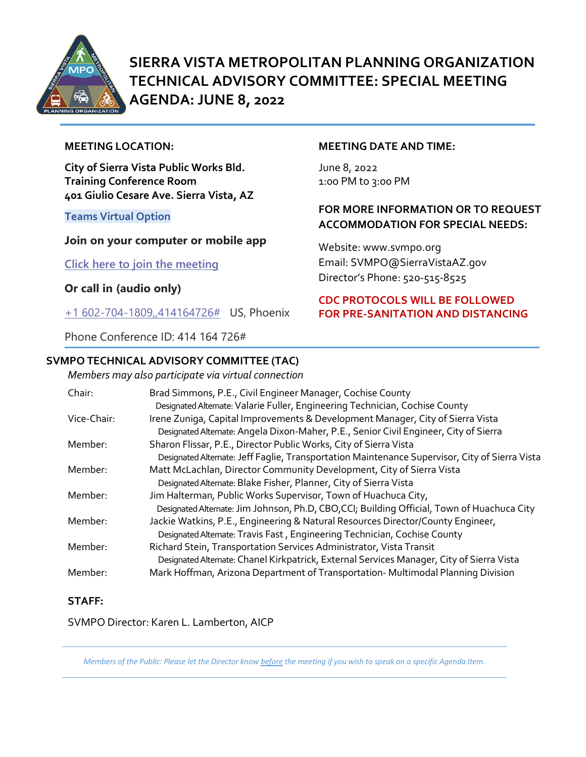

# **SIERRA VISTA METROPOLITAN PLANNING ORGANIZATION TECHNICAL ADVISORY COMMITTEE: SPECIAL MEETING AGENDA: JUNE 8, 2022**

#### **MEETING LOCATION:**

**City of Sierra Vista Public Works Bld. Training Conference Room 401 Giulio Cesare Ave. Sierra Vista, AZ**

**Teams Virtual Option** 

#### **Join on your computer or mobile app**

**[Click here to join the meeting](https://teams.microsoft.com/l/meetup-join/19%3ameeting_ZjQ3OTBhYjUtMTg1MS00Nzg3LTgzODQtMDFlODQ0YmU0MDdh%40thread.v2/0?context=%7b%22Tid%22%3a%2236676c86-4a76-422a-8d4e-223152386488%22%2c%22Oid%22%3a%22956098f9-794b-4934-9a34-9a99f53bf1f3%22%7d)**

**Or call in (audio only)**

[+1 602-704-1809,,414164726#](tel:+16027041809,,414164726#%20) US, Phoenix

Phone Conference ID: 414 164 726#

## **SVMPO TECHNICAL ADVISORY COMMITTEE (TAC)**

*Members may also participate via virtual connection* 

| <b>MEETING DATE AND TIME:</b> |  |
|-------------------------------|--|
|-------------------------------|--|

June 8, 2022 1:0o PM to 3:00 PM

#### **FOR MORE INFORMATION OR TO REQUEST ACCOMMODATION FOR SPECIAL NEEDS:**

Website: www.svmpo.org Email: SVMPO@SierraVistaAZ.gov Director's Phone: 520-515-8525

#### **CDC PROTOCOLS WILL BE FOLLOWED FOR PRE-SANITATION AND DISTANCING**

| Chair:      | Brad Simmons, P.E., Civil Engineer Manager, Cochise County                                     |
|-------------|------------------------------------------------------------------------------------------------|
|             | Designated Alternate: Valarie Fuller, Engineering Technician, Cochise County                   |
| Vice-Chair: | Irene Zuniga, Capital Improvements & Development Manager, City of Sierra Vista                 |
|             | Designated Alternate: Angela Dixon-Maher, P.E., Senior Civil Engineer, City of Sierra          |
| Member:     | Sharon Flissar, P.E., Director Public Works, City of Sierra Vista                              |
|             | Designated Alternate: Jeff Faglie, Transportation Maintenance Supervisor, City of Sierra Vista |
| Member:     | Matt McLachlan, Director Community Development, City of Sierra Vista                           |
|             | Designated Alternate: Blake Fisher, Planner, City of Sierra Vista                              |
| Member:     | Jim Halterman, Public Works Supervisor, Town of Huachuca City,                                 |
|             | Designated Alternate: Jim Johnson, Ph.D, CBO,CCI; Building Official, Town of Huachuca City     |
| Member:     | Jackie Watkins, P.E., Engineering & Natural Resources Director/County Engineer,                |
|             | Designated Alternate: Travis Fast, Engineering Technician, Cochise County                      |
| Member:     | Richard Stein, Transportation Services Administrator, Vista Transit                            |
|             | Designated Alternate: Chanel Kirkpatrick, External Services Manager, City of Sierra Vista      |
| Member:     | Mark Hoffman, Arizona Department of Transportation-Multimodal Planning Division                |
|             |                                                                                                |

#### **STAFF:**

SVMPO Director: Karen L. Lamberton, AICP

*Members of the Public: Please let the Director know before the meeting if you wish to speak on a specific Agenda Item.*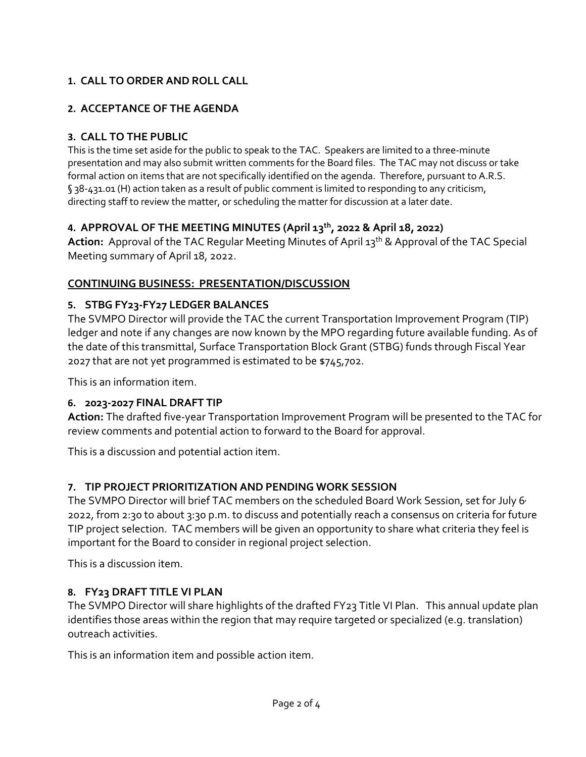# **1. CALL TO ORDER AND ROLL CALL**

# **2. ACCEPTANCE OF THE AGENDA**

# **3. CALL TO THE PUBLIC**

This is the time set aside for the public to speak to the TAC. Speakers are limited to a three-minute presentation and may also submit written comments for the Board files. The TAC may not discuss or take formal action on items that are not specifically identified on the agenda. Therefore, pursuant to A.R.S. § 38-431.01 (H) action taken as a result of public comment is limited to responding to any criticism, directing staff to review the matter, or scheduling the matter for discussion at a later date.

# **4. APPROVAL OF THE MEETING MINUTES (April 13th, 2022 & April 18, 2022)**

Action: Approval of the TAC Regular Meeting Minutes of April 13<sup>th</sup> & Approval of the TAC Special Meeting summary of April 18, 2022.

## **CONTINUING BUSINESS: PRESENTATION/DISCUSSION**

## **5. STBG FY23-FY27 LEDGER BALANCES**

The SVMPO Director will provide the TAC the current Transportation Improvement Program (TIP) ledger and note if any changes are now known by the MPO regarding future available funding. As of the date of this transmittal, Surface Transportation Block Grant (STBG) funds through Fiscal Year 2027 that are not yet programmed is estimated to be \$745,702.

This is an information item.

# **6. 2023-2027 FINAL DRAFT TIP**

**Action:** The drafted five-year Transportation Improvement Program will be presented to the TAC for review comments and potential action to forward to the Board for approval.

This is a discussion and potential action item.

# **7. TIP PROJECT PRIORITIZATION AND PENDING WORK SESSION**

The SVMPO Director will brief TAC members on the scheduled Board Work Session, set for July 6 2022, from 2:30 to about 3:30 p.m. to discuss and potentially reach a consensus on criteria for future TIP project selection. TAC members will be given an opportunity to share what criteria they feel is important for the Board to consider in regional project selection.

This is a discussion item.

# **8. FY23 DRAFT TITLE VI PLAN**

The SVMPO Director will share highlights of the drafted FY23 Title VI Plan. This annual update plan identifies those areas within the region that may require targeted or specialized (e.g. translation) outreach activities.

This is an information item and possible action item.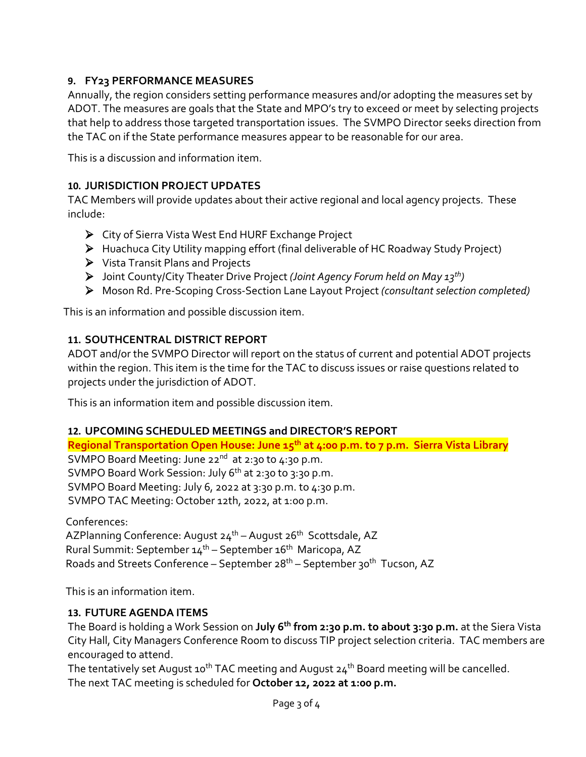# **9. FY23 PERFORMANCE MEASURES**

Annually, the region considers setting performance measures and/or adopting the measures set by ADOT. The measures are goals that the State and MPO's try to exceed or meet by selecting projects that help to address those targeted transportation issues. The SVMPO Director seeks direction from the TAC on if the State performance measures appear to be reasonable for our area.

This is a discussion and information item.

#### **10. JURISDICTION PROJECT UPDATES**

TAC Members will provide updates about their active regional and local agency projects. These include:

- City of Sierra Vista West End HURF Exchange Project
- Huachuca City Utility mapping effort (final deliverable of HC Roadway Study Project)
- Vista Transit Plans and Projects
- Joint County/City Theater Drive Project *(Joint Agency Forum held on May 13th)*
- Moson Rd. Pre-Scoping Cross-Section Lane Layout Project *(consultant selection completed)*

This is an information and possible discussion item.

#### **11. SOUTHCENTRAL DISTRICT REPORT**

ADOT and/or the SVMPO Director will report on the status of current and potential ADOT projects within the region. This item is the time for the TAC to discuss issues or raise questions related to projects under the jurisdiction of ADOT.

This is an information item and possible discussion item.

#### **12. UPCOMING SCHEDULED MEETINGS and DIRECTOR'S REPORT**

**Regional Transportation Open House: June 15th at 4:00 p.m. to 7 p.m. Sierra Vista Library** SVMPO Board Meeting: June 22<sup>nd</sup> at 2:30 to 4:30 p.m. SVMPO Board Work Session: July 6<sup>th</sup> at 2:30 to 3:30 p.m. SVMPO Board Meeting: July 6, 2022 at 3:30 p.m. to 4:30 p.m. SVMPO TAC Meeting: October 12th, 2022, at 1:00 p.m.

Conferences: AZPlanning Conference: August 24<sup>th</sup> – August 26<sup>th</sup> Scottsdale, AZ Rural Summit: September 14<sup>th</sup> – September 16<sup>th</sup> Maricopa, AZ Roads and Streets Conference – September 28<sup>th</sup> – September 30<sup>th</sup> Tucson, AZ

This is an information item.

#### **13. FUTURE AGENDA ITEMS**

The Board is holding a Work Session on **July 6th from 2:30 p.m. to about 3:30 p.m.** at the Siera Vista City Hall, City Managers Conference Room to discuss TIP project selection criteria. TAC members are encouraged to attend.

The tentatively set August 10<sup>th</sup> TAC meeting and August  $24<sup>th</sup>$  Board meeting will be cancelled. The next TAC meeting is scheduled for **October 12, 2022 at 1:00 p.m.**